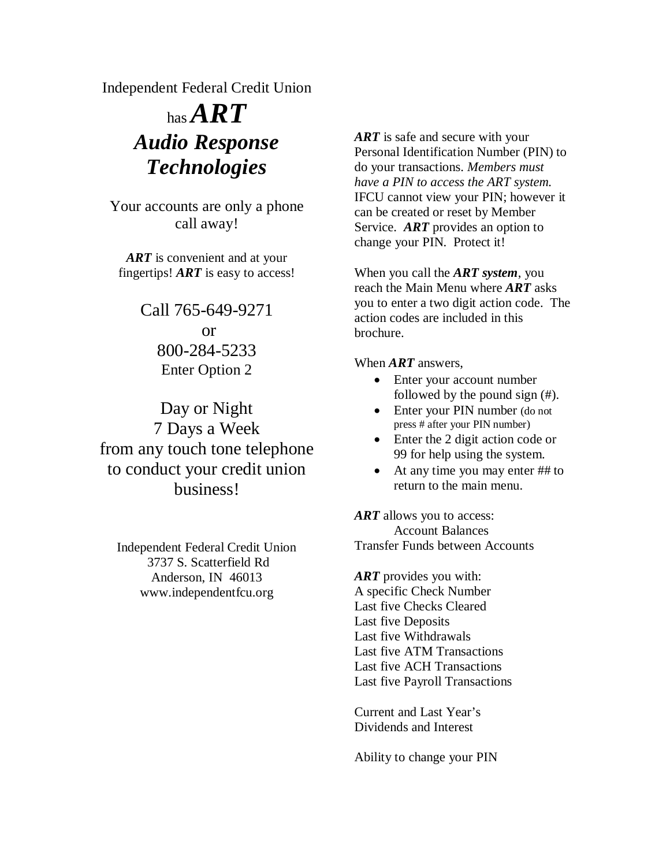Independent Federal Credit Union

# has  $\boldsymbol{ART}$ *Audio Response Technologies*

Your accounts are only a phone call away!

*ART* is convenient and at your fingertips! *ART* is easy to access!

> Call 765-649-9271 or 800-284-5233 Enter Option 2

Day or Night 7 Days a Week from any touch tone telephone to conduct your credit union business!

Independent Federal Credit Union 3737 S. Scatterfield Rd Anderson, IN 46013 www.independentfcu.org

*ART* is safe and secure with your Personal Identification Number (PIN) to do your transactions. *Members must have a PIN to access the ART system.* IFCU cannot view your PIN; however it can be created or reset by Member Service. *ART* provides an option to change your PIN. Protect it!

When you call the *ART system*, you reach the Main Menu where *ART* asks you to enter a two digit action code. The action codes are included in this brochure.

When *ART* answers,

- Enter your account number followed by the pound sign (#).
- Enter your PIN number (do not press # after your PIN number)
- Enter the 2 digit action code or 99 for help using the system.
- At any time you may enter ## to return to the main menu.

*ART* allows you to access: Account Balances Transfer Funds between Accounts

*ART* provides you with: A specific Check Number Last five Checks Cleared Last five Deposits Last five Withdrawals Last five ATM Transactions Last five ACH Transactions Last five Payroll Transactions

Current and Last Year's Dividends and Interest

Ability to change your PIN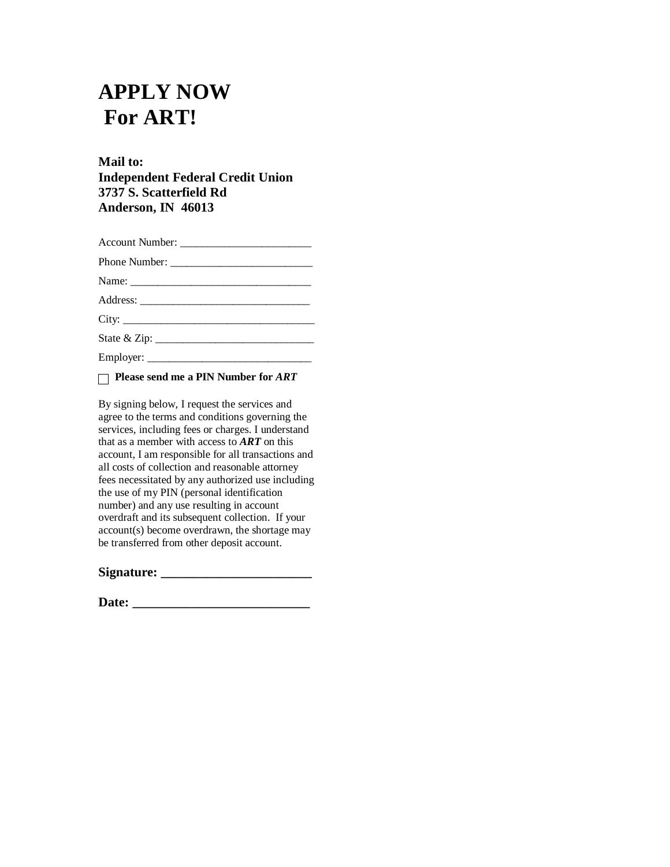## **APPLY NOW For ART!**

## **Mail to: Independent Federal Credit Union 3737 S. Scatterfield Rd Anderson, IN 46013**

| Phone Number: |
|---------------|
| Name:         |
|               |
|               |
|               |
|               |

 **Please send me a PIN Number for** *ART*

By signing below, I request the services and agree to the terms and conditions governing the services, including fees or charges. I understand that as a member with access to *ART* on this account, I am responsible for all transactions and all costs of collection and reasonable attorney fees necessitated by any authorized use including the use of my PIN (personal identification number) and any use resulting in account overdraft and its subsequent collection. If your account(s) become overdrawn, the shortage may be transferred from other deposit account.

| Signature: |  |
|------------|--|
|            |  |

**Date: \_\_\_\_\_\_\_\_\_\_\_\_\_\_\_\_\_\_\_\_\_\_\_\_\_\_\_**